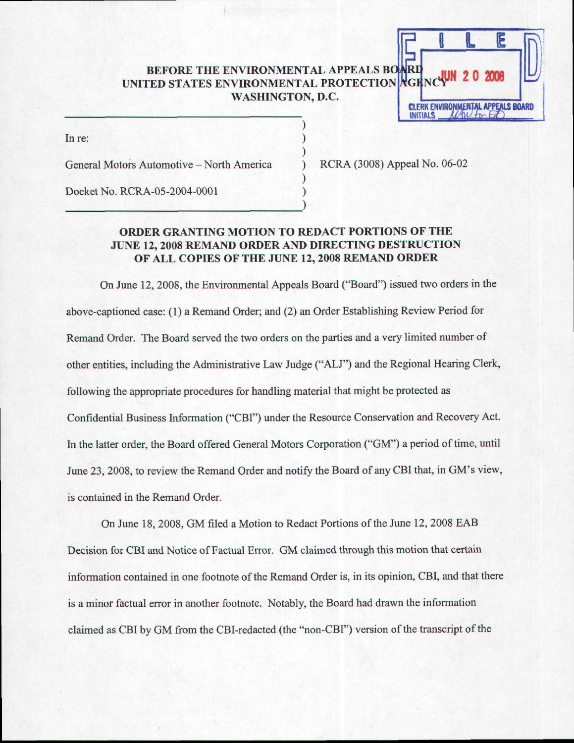# BEFORE THE ENVIRONMENTAL APPEALS BO BEFORE THE ENVIRONMENTAL APPEALS BOARD<br>UNITED STATES ENVIRONMENTAL PROTECTION AGENCY 10 200 WASHINGTON, D.C. CLERK ENVIRONMENTAL APPEALS BOARD

In re:

General Motors Automotive - North America

RCRA (3008) Appeal No. 06-02

**INITIALS** 

Docket No. RCRA-05-2004-0001

# ORDER GRANTING MOTION TO REDACT PORTIONS OF THE JUNE 12, 2OO8 REMAND ORDER AND DIRECTING DESTRUCTION OF ALL COPIES OF THE JUNE 12, 2008 REMAND ORDER

On June 12,2008, the Environmental Appeals Board ("Board") issued two orders in the above-captioned case: (l) a Remand Order; and (2) an Order Establishing Review Period for Remand Order. The Board served the two orders on the parties and a very limited number of other entities, including the Administrative Law Judge ("ALJ") and the Regional Hearing Clerk, following the appropriate procedures for handling material that might be protected as Confidential Business Information ("CBI") under the Resource Conservation and Recovery Act. In the latter order, the Board offered General Motors Corporation ("GM") a period of time, until June 23, 2008, to review the Remand Order and notify the Board of any CBI that, in GM's view, is contained in the Remand Order.

On June 18, 2008, GM filed a Motion to Redact Portions of the June 12, 2008 EAB Decision for CBI and Notice of Factual Error. GM claimed through this motion that certain information contained in one footnote of the Remand Order is, in its opinion, CBI, and that there is a minor factual error in another footnote. Notably, the Board had drawn the information claimed as CBI by GM from the CBl-redacted (the "non-CBI") version of the transcript of the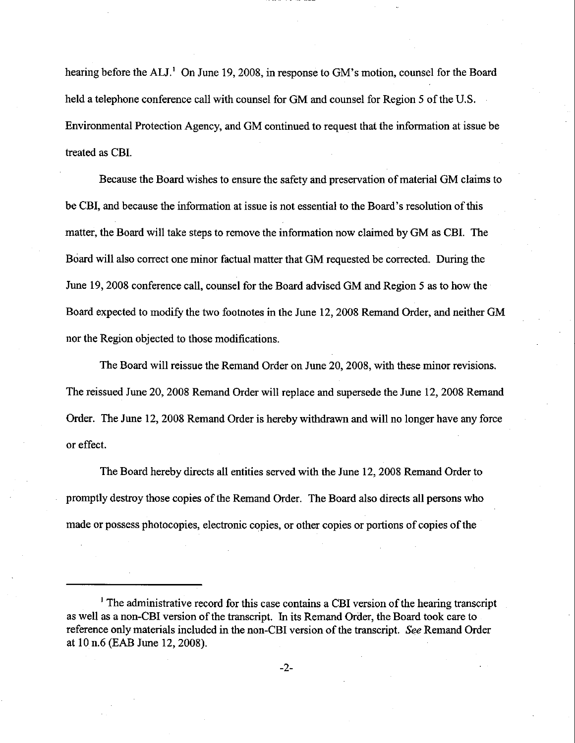hearing before the ALJ.<sup>1</sup> On June 19, 2008, in response to GM's motion, counsel for the Board held a telephone conference call with counsel for GM and counsel for Region 5 of the U.S. Environmental Protection Agency, and GM continued to request that the information at issue be treated as CBI.

Because the Board wishes to ensure the safety and preservation of material GM claims to be CBI, and because the information at issue is not essential to the Board's resolution of this matter, the Board will take steps to remove the information now claimed by GM as CBI. The Board will also correct one minor factual matter that GM requested be corrected. During the June 19, 2008 conference call, counsel for the Board advised GM and Region 5 as to how the Board expected to modify the two footnotes in the June 12, 2008 Remand Order, and neither GM nor the Region objected to those modifications.

The Board will reissue the Remand Order on June 20, 2008, with these minor revisions. The reissued June 20, 2008 Remand Order will replace and supersede the June 12, 2008 Remaad Order. The June 12, 2008 Remand Order is hereby withdrawn and will no longer have any force or effect.

The Board hereby directs all entities served with the June 12, 2008 Remand Order to promptly destroy those copies of the Remand Order. The Board also directs all persons who made or possess photocopies, electronic copies, or other copies or portions of copies of the

<sup>&</sup>lt;sup>1</sup> The administrative record for this case contains a CBI version of the hearing transcript as well as a non-CBI version of the transcript. In its Remand Order, the Board took care to reference only materials included in the non-CBI version of the transcript. See Remand Order at l0 n.6 (EAB June 12,2008).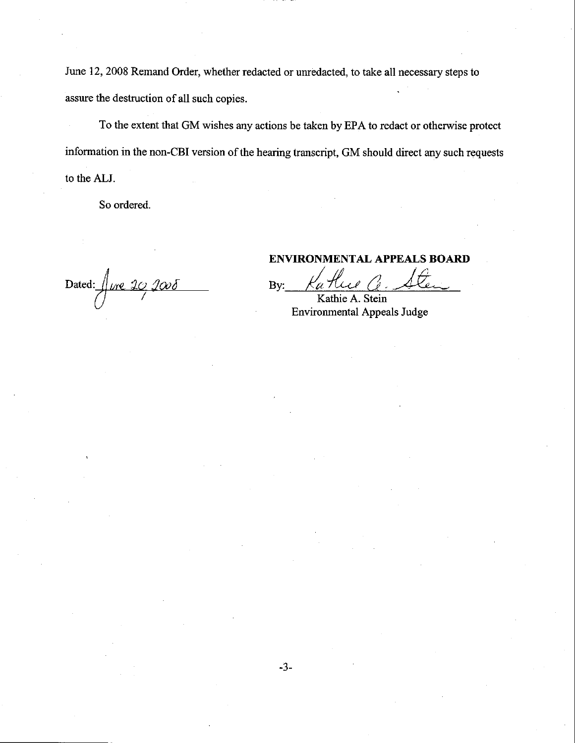June 12, 2008 Remand Order, whether redacted or unredacted, to take all necessary steps to assure the destruction of all such copies.

To the extent that GM wishes any actions be taken by EPA to redact or otherwise protect information in the non-CBI version of the hearing transcript, GM should direct any such requests to the ALJ.

So ordered.

Dated:  $\int$ ure 20 2008

## ENVIRONMENTAL APPEALS BOARI)

By:

Kathie A. Stein Environmental Appeals Judge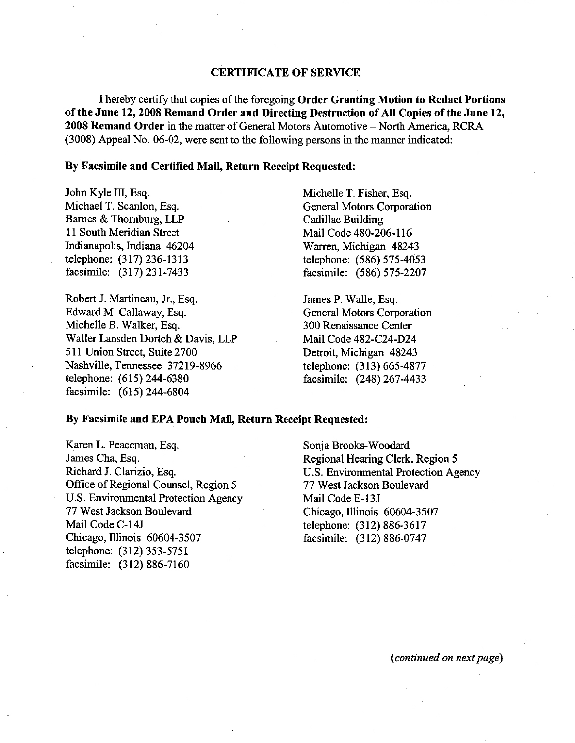### CERTIFICATE OF SERVICE

I hereby certify that copies of the foregoing Order Granting Motion to Redact Portions of the June 12, 2008 Remand Order and Directing Destruction of All Copies of the June 12, 2008 Remand Order in the matter of General Motors Automotive - North America, RCRA (3008) Appeal No. 06-02, were sent to the following persons in the manner indicated:

#### By Facsimile and Certified Mail, Return Receipt Requested:

John Kyle III, Esq. Michael T. Scanlon, Esq. Bames & Thornburg, LLP 11 South Meridian Street Indianapolis, Indiana 46204 telephone: (317) 236-1313 facsimile: (317) 231-7433

Robert J. Martineau, Jr., Esq. Edward M. Callaway, Esq. Michelle B. Walker, Esq. Waller Lansden Dortch & Davis. LLP 511 Union Street, Suite 2700 Nashville, Tennessee 37219-8966 telephone: (615) 244-6380 facsimile: (615) 244-6804

Michelle T. Fisher, Esq. General Motors Corporation Cadillac Building Mail Code 480-206-116 Warren, Michigan 48243 telephone: (586) 575-4053 facsimile: (586) 575-2207

James P. Walle, Esq. General Motors Corporation 300 Renaissance Center MailCode 482-C24-D24 Detroit, Michigan 48243 telephone: (313) 665-4877 facsimile: Q48) 267 -4433

#### By Facsimile and EPA Pouch Mail, Return Receipt Requested:

Karen L. Peaceman, Esq. James Cha, Esq. Richard J. Clarizio, Esq. Office of Regional Counsel, Region 5 U.S. Environmental Protection Agency 77 West Jackson Boulevard Mail Code C-14J Chicago, Illinois 60604-3507 telephone: (312) 353-5751 facsimile: (312) 886-7160

Sonja Brooks-Woodard Regionat Hearing Clerk, Region 5 U.S. Environmental Protection Agency 77 West Jackson Boulevard Mail Code E-13J Chicago, Illinois 60604-3507 telephone: (312\ 886-3617 facsimile: (312) 886-0747

(continued on next page)